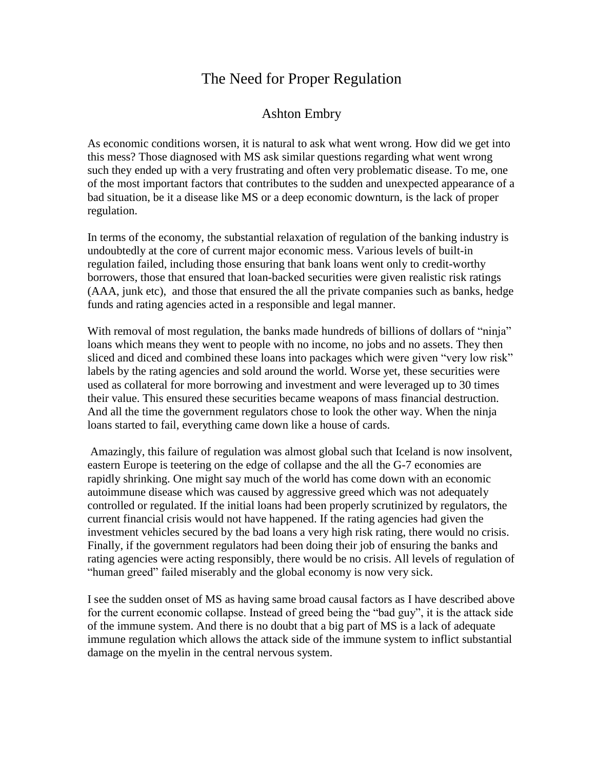## The Need for Proper Regulation

## Ashton Embry

As economic conditions worsen, it is natural to ask what went wrong. How did we get into this mess? Those diagnosed with MS ask similar questions regarding what went wrong such they ended up with a very frustrating and often very problematic disease. To me, one of the most important factors that contributes to the sudden and unexpected appearance of a bad situation, be it a disease like MS or a deep economic downturn, is the lack of proper regulation.

In terms of the economy, the substantial relaxation of regulation of the banking industry is undoubtedly at the core of current major economic mess. Various levels of built-in regulation failed, including those ensuring that bank loans went only to credit-worthy borrowers, those that ensured that loan-backed securities were given realistic risk ratings (AAA, junk etc), and those that ensured the all the private companies such as banks, hedge funds and rating agencies acted in a responsible and legal manner.

With removal of most regulation, the banks made hundreds of billions of dollars of "ninja" loans which means they went to people with no income, no jobs and no assets. They then sliced and diced and combined these loans into packages which were given "very low risk" labels by the rating agencies and sold around the world. Worse yet, these securities were used as collateral for more borrowing and investment and were leveraged up to 30 times their value. This ensured these securities became weapons of mass financial destruction. And all the time the government regulators chose to look the other way. When the ninja loans started to fail, everything came down like a house of cards.

Amazingly, this failure of regulation was almost global such that Iceland is now insolvent, eastern Europe is teetering on the edge of collapse and the all the G-7 economies are rapidly shrinking. One might say much of the world has come down with an economic autoimmune disease which was caused by aggressive greed which was not adequately controlled or regulated. If the initial loans had been properly scrutinized by regulators, the current financial crisis would not have happened. If the rating agencies had given the investment vehicles secured by the bad loans a very high risk rating, there would no crisis. Finally, if the government regulators had been doing their job of ensuring the banks and rating agencies were acting responsibly, there would be no crisis. All levels of regulation of "human greed" failed miserably and the global economy is now very sick.

I see the sudden onset of MS as having same broad causal factors as I have described above for the current economic collapse. Instead of greed being the "bad guy", it is the attack side of the immune system. And there is no doubt that a big part of MS is a lack of adequate immune regulation which allows the attack side of the immune system to inflict substantial damage on the myelin in the central nervous system.